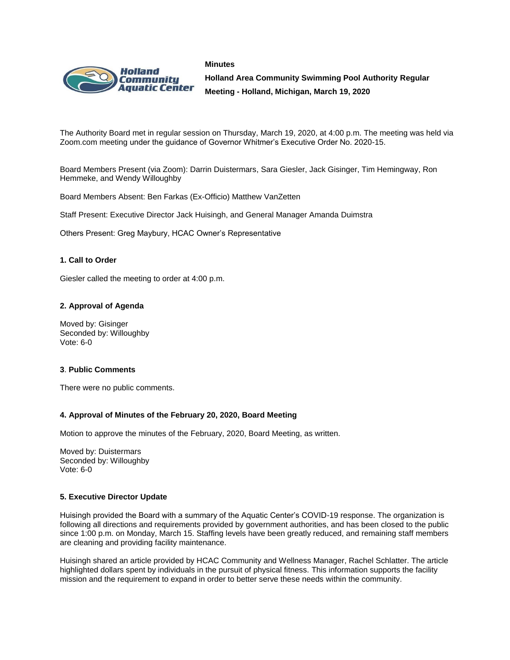



**Holland Area Community Swimming Pool Authority Regular Meeting - Holland, Michigan, March 19, 2020**

The Authority Board met in regular session on Thursday, March 19, 2020, at 4:00 p.m. The meeting was held via Zoom.com meeting under the guidance of Governor Whitmer's Executive Order No. 2020-15.

Board Members Present (via Zoom): Darrin Duistermars, Sara Giesler, Jack Gisinger, Tim Hemingway, Ron Hemmeke, and Wendy Willoughby

Board Members Absent: Ben Farkas (Ex-Officio) Matthew VanZetten

Staff Present: Executive Director Jack Huisingh, and General Manager Amanda Duimstra

Others Present: Greg Maybury, HCAC Owner's Representative

### **1. Call to Order**

Giesler called the meeting to order at 4:00 p.m.

#### **2. Approval of Agenda**

Moved by: Gisinger Seconded by: Willoughby Vote: 6-0

#### **3**. **Public Comments**

There were no public comments.

#### **4. Approval of Minutes of the February 20, 2020, Board Meeting**

Motion to approve the minutes of the February, 2020, Board Meeting, as written.

Moved by: Duistermars Seconded by: Willoughby Vote: 6-0

#### **5. Executive Director Update**

Huisingh provided the Board with a summary of the Aquatic Center's COVID-19 response. The organization is following all directions and requirements provided by government authorities, and has been closed to the public since 1:00 p.m. on Monday, March 15. Staffing levels have been greatly reduced, and remaining staff members are cleaning and providing facility maintenance.

Huisingh shared an article provided by HCAC Community and Wellness Manager, Rachel Schlatter. The article highlighted dollars spent by individuals in the pursuit of physical fitness. This information supports the facility mission and the requirement to expand in order to better serve these needs within the community.